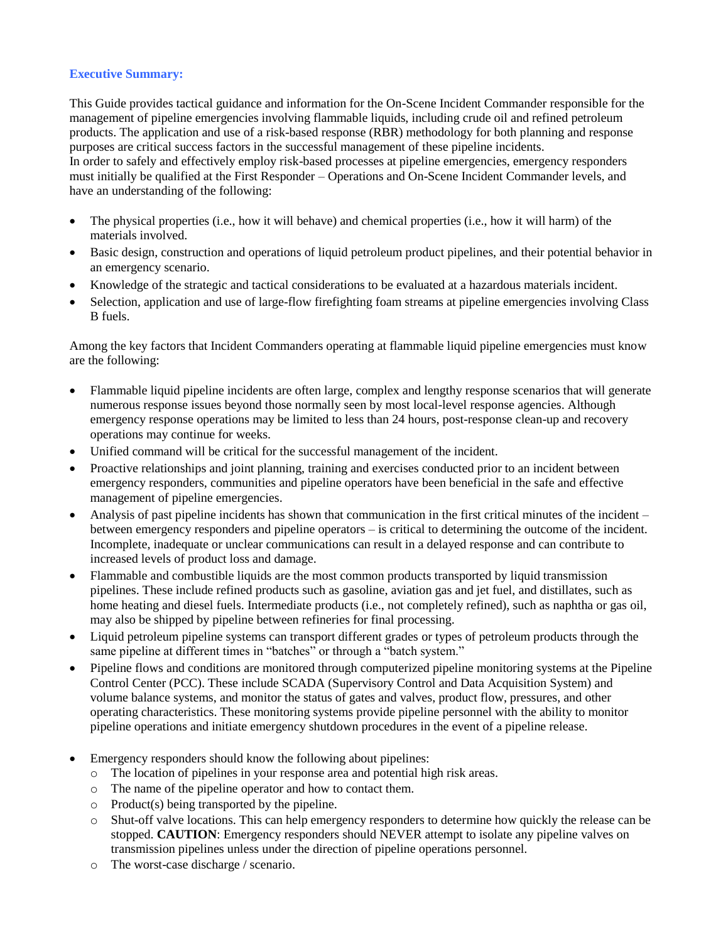## **Executive Summary:**

This Guide provides tactical guidance and information for the On-Scene Incident Commander responsible for the management of pipeline emergencies involving flammable liquids, including crude oil and refined petroleum products. The application and use of a risk-based response (RBR) methodology for both planning and response purposes are critical success factors in the successful management of these pipeline incidents. In order to safely and effectively employ risk-based processes at pipeline emergencies, emergency responders must initially be qualified at the First Responder – Operations and On-Scene Incident Commander levels, and have an understanding of the following:

- The physical properties (i.e., how it will behave) and chemical properties (i.e., how it will harm) of the materials involved.
- Basic design, construction and operations of liquid petroleum product pipelines, and their potential behavior in an emergency scenario.
- Knowledge of the strategic and tactical considerations to be evaluated at a hazardous materials incident.
- Selection, application and use of large-flow firefighting foam streams at pipeline emergencies involving Class B fuels.

Among the key factors that Incident Commanders operating at flammable liquid pipeline emergencies must know are the following:

- Flammable liquid pipeline incidents are often large, complex and lengthy response scenarios that will generate numerous response issues beyond those normally seen by most local-level response agencies. Although emergency response operations may be limited to less than 24 hours, post-response clean-up and recovery operations may continue for weeks.
- Unified command will be critical for the successful management of the incident.
- Proactive relationships and joint planning, training and exercises conducted prior to an incident between emergency responders, communities and pipeline operators have been beneficial in the safe and effective management of pipeline emergencies.
- Analysis of past pipeline incidents has shown that communication in the first critical minutes of the incident between emergency responders and pipeline operators – is critical to determining the outcome of the incident. Incomplete, inadequate or unclear communications can result in a delayed response and can contribute to increased levels of product loss and damage.
- Flammable and combustible liquids are the most common products transported by liquid transmission pipelines. These include refined products such as gasoline, aviation gas and jet fuel, and distillates, such as home heating and diesel fuels. Intermediate products (i.e., not completely refined), such as naphtha or gas oil, may also be shipped by pipeline between refineries for final processing.
- Liquid petroleum pipeline systems can transport different grades or types of petroleum products through the same pipeline at different times in "batches" or through a "batch system."
- Pipeline flows and conditions are monitored through computerized pipeline monitoring systems at the Pipeline Control Center (PCC). These include SCADA (Supervisory Control and Data Acquisition System) and volume balance systems, and monitor the status of gates and valves, product flow, pressures, and other operating characteristics. These monitoring systems provide pipeline personnel with the ability to monitor pipeline operations and initiate emergency shutdown procedures in the event of a pipeline release.
- Emergency responders should know the following about pipelines:
	- o The location of pipelines in your response area and potential high risk areas.
	- o The name of the pipeline operator and how to contact them.
	- o Product(s) being transported by the pipeline.
	- o Shut-off valve locations. This can help emergency responders to determine how quickly the release can be stopped. **CAUTION**: Emergency responders should NEVER attempt to isolate any pipeline valves on transmission pipelines unless under the direction of pipeline operations personnel.
	- o The worst-case discharge / scenario.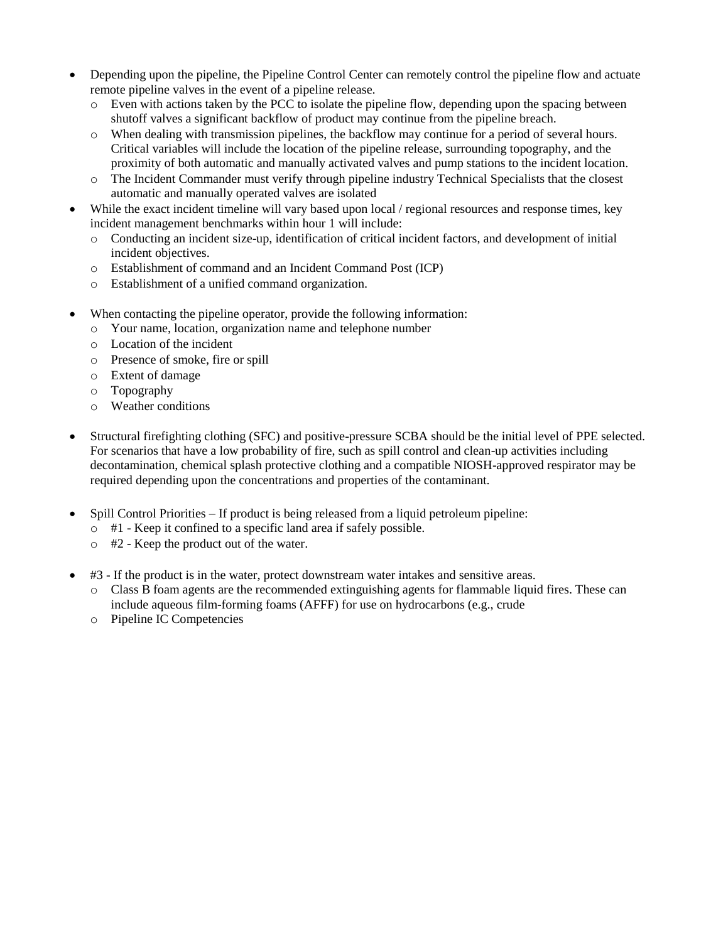- Depending upon the pipeline, the Pipeline Control Center can remotely control the pipeline flow and actuate remote pipeline valves in the event of a pipeline release.
	- $\circ$  Even with actions taken by the PCC to isolate the pipeline flow, depending upon the spacing between shutoff valves a significant backflow of product may continue from the pipeline breach.
	- o When dealing with transmission pipelines, the backflow may continue for a period of several hours. Critical variables will include the location of the pipeline release, surrounding topography, and the proximity of both automatic and manually activated valves and pump stations to the incident location.
	- o The Incident Commander must verify through pipeline industry Technical Specialists that the closest automatic and manually operated valves are isolated
- While the exact incident timeline will vary based upon local / regional resources and response times, key incident management benchmarks within hour 1 will include:
	- o Conducting an incident size-up, identification of critical incident factors, and development of initial incident objectives.
	- o Establishment of command and an Incident Command Post (ICP)
	- o Establishment of a unified command organization.
- When contacting the pipeline operator, provide the following information:
	- o Your name, location, organization name and telephone number
	- o Location of the incident
	- o Presence of smoke, fire or spill
	- o Extent of damage
	- o Topography
	- o Weather conditions
- Structural firefighting clothing (SFC) and positive-pressure SCBA should be the initial level of PPE selected. For scenarios that have a low probability of fire, such as spill control and clean-up activities including decontamination, chemical splash protective clothing and a compatible NIOSH-approved respirator may be required depending upon the concentrations and properties of the contaminant.
- Spill Control Priorities If product is being released from a liquid petroleum pipeline:
	- o #1 Keep it confined to a specific land area if safely possible.
	- o #2 Keep the product out of the water.
- #3 If the product is in the water, protect downstream water intakes and sensitive areas.
	- o Class B foam agents are the recommended extinguishing agents for flammable liquid fires. These can include aqueous film-forming foams (AFFF) for use on hydrocarbons (e.g., crude
	- o Pipeline IC Competencies